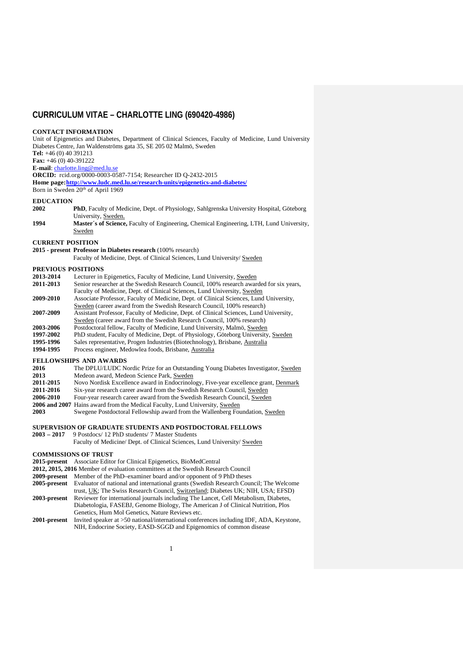# **CURRICULUM VITAE – CHARLOTTE LING (690420-4986)**

# **CONTACT INFORMATION**

Unit of Epigenetics and Diabetes, Department of Clinical Sciences, Faculty of Medicine, Lund University Diabetes Centre, Jan Waldenströms gata 35, SE 205 02 Malmö, Sweden **Tel:** +46 (0) 40 391213 **Fax:** +46 (0) 40-391222

**E-mail**: [charlotte.ling@med.lu.se](mailto:charlotte.ling@med.lu.se)

**ORCID:** rcid.org/0000-0003-0587-7154; Researcher ID Q-2432-2015

**Home page[:http://www.ludc.med.lu.se/research-units/epigenetics-and-diabetes/](http://www.ludc.med.lu.se/research-units/epigenetics-and-diabetes/)**

Born in Sweden 20<sup>th</sup> of April 1969

#### **EDUCATION**

- **2002 PhD**, Faculty of Medicine, Dept. of Physiology, Sahlgrenska University Hospital, Göteborg University, Sweden.
- **1994 Master´s of Science,** Faculty of Engineering, Chemical Engineering, LTH, Lund University, Sweden

#### **CURRENT POSITION**

**2015 - present Professor in Diabetes research** (100% research)

Faculty of Medicine, Dept. of Clinical Sciences, Lund University/ Sweden

- **PREVIOUS POSITIONS**<br>2013-2014 Lecturer in **2013-2014** Lecturer in Epigenetics, Faculty of Medicine, Lund University, Sweden<br>**2011-2013** Senior researcher at the Swedish Research Council, 100% research aware Senior researcher at the Swedish Research Council, 100% research awarded for six years, Faculty of Medicine, Dept. of Clinical Sciences, Lund University, Sweden **2009-2010** Associate Professor, Faculty of Medicine, Dept. of Clinical Sciences, Lund University, Sweden (career award from the Swedish Research Council, 100% research) **2007-2009** Assistant Professor, Faculty of Medicine, Dept. of Clinical Sciences, Lund University, Sweden (career award from the Swedish Research Council, 100% research) **2003-2006** Postdoctoral fellow, Faculty of Medicine, Lund University, Malmö, Sweden
- 1997-2002 PhD student, Faculty of Medicine, Dept. of Physiology, Göteborg University, Sweden<br>1995-1996 Sales representative, Progen Industries (Biotechnology), Brisbane, Australia
- 1995-1996 Sales representative, Progen Industries (Biotechnology), Brisbane, Australia<br>1994-1995 Process engineer, Medowlea foods, Brisbane, Australia
- **1994-1995** Process engineer, Medowlea foods, Brisbane, Australia

# **FELLOWSHIPS AND AWARDS**

| 2016 | The DPLU/LUDC Nordic Prize for an Outstanding Young Diabetes Investigator, Sweden |
|------|-----------------------------------------------------------------------------------|
| 2013 | Medeon award, Medeon Science Park, Sweden                                         |

- 
- 2011-2015 Novo Nordisk Excellence award in Endocrinology, Five-year excellence grant, Denmark 2011-2016 Six-year research career award from the Swedish Research Council, Sweden
- 2011-2016 Six-year research career award from the Swedish Research Council, Sweden<br>2006-2010 Four-year research career award from the Swedish Research Council, Sweden **2006-2010** Four-year research career award from the Swedish Research Council, Sweden
- 
- **2006 and 2007** Hains award from the Medical Faculty, Lund University, Sweden 2003<br>**2003** Swegene Postdoctoral Fellowship award from the Wallenberg Four
- **2003** Swegene Postdoctoral Fellowship award from the Wallenberg Foundation, Sweden

# **SUPERVISION OF GRADUATE STUDENTS AND POSTDOCTORAL FELLOWS** 2003 - 2017 9 Postdocs/ 12 PhD students/ 7 Master Students

**2003 – 2017** 9 Postdocs/ 12 PhD students/ 7 Master Students

Faculty of Medicine/ Dept. of Clinical Sciences, Lund University/ Sweden

## **COMMISSIONS OF TRUST**

- **2015-present** Associate Editor for Clinical Epigenetics, BioMedCentral
- **2012, 2015, 2016** Member of evaluation committees at the Swedish Research Council
- **2009-present** Member of the PhD–examiner board and/or opponent of 9 PhD theses **2005-present** Evaluator of national and international grants (Swedish Research Coun
- **2005-present** Evaluator of national and international grants (Swedish Research Council; The Welcome trust, UK; The Swiss Research Council, Switzerland; Diabetes UK; NIH, USA; EFSD)
- **2003-present** Reviewer for international journals including The Lancet, Cell Metabolism, Diabetes, Diabetologia, FASEBJ, Genome Biology, The American J of Clinical Nutrition, Plos Genetics, Hum Mol Genetics, Nature Reviews etc.
- **2001-present** Invited speaker at >50 national/international conferences including IDF, ADA, Keystone, NIH, Endocrine Society, EASD-SGGD and Epigenomics of common disease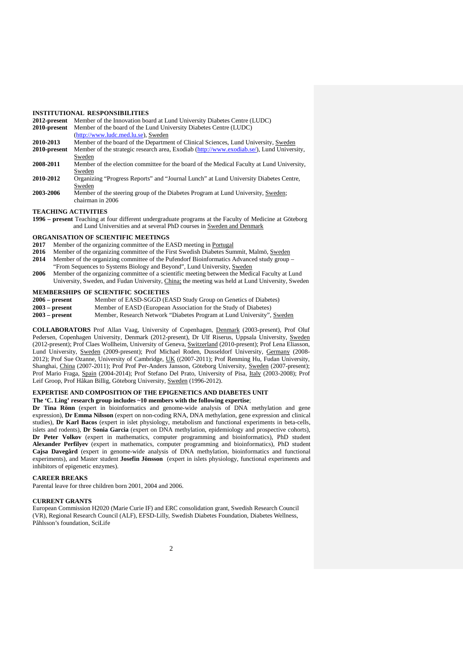#### **INSTITUTIONAL RESPONSIBILITIES**

| 2012-present | Member of the Innovation board at Lund University Diabetes Centre (LUDC)                  |
|--------------|-------------------------------------------------------------------------------------------|
| 2010-present | Member of the board of the Lund University Diabetes Centre (LUDC)                         |
|              | (http://www.ludc.med.lu.se), Sweden                                                       |
| 2010-2013    | Member of the board of the Department of Clinical Sciences, Lund University, Sweden       |
| 2010-present | Member of the strategic research area, Exodiab (http://www.exodiab.se/), Lund University, |
|              | Sweden                                                                                    |
| 2008-2011    | Member of the election committee for the board of the Medical Faculty at Lund University, |
|              | Sweden                                                                                    |
| 2010-2012    | Organizing "Progress Reports" and "Journal Lunch" at Lund University Diabetes Centre,     |
|              | Sweden                                                                                    |
| 2003-2006    | Member of the steering group of the Diabetes Program at Lund University, Sweden;          |
|              | chairman in 2006                                                                          |

#### **TEACHING ACTIVITIES**

**1996 – present** Teaching at four different undergraduate programs at the Faculty of Medicine at Göteborg and Lund Universities and at several PhD courses in Sweden and Denmark

# **ORGANISATION OF SCIENTIFIC MEETINGS**<br>2017 Member of the organizing committee of the Equation

- **2017** Member of the organizing committee of the EASD meeting in <u>Portugal</u><br>2016 Member of the organizing committee of the First Swedish Diabetes Surf
- **2016** Member of the organizing committee of the First Swedish Diabetes Summit, Malmö, Sweden<br>**2014** Member of the organizing committee of the Pufendorf Bioinformatics Advanced study group
- **2014** Member of the organizing committee of the Pufendorf Bioinformatics Advanced study group "From Sequences to Systems Biology and Beyond", Lund University, Sweden
- **2006** Member of the organizing committee of a scientific meeting between the Medical Faculty at Lund University, Sweden, and Fudan University, China; the meeting was held at Lund University, Sweden

### **MEMBERSHIPS OF SCIENTIFIC SOCIETIES**

- **2006 present** Member of EASD-SGGD (EASD Study Group on Genetics of Diabetes)<br>**2003 present** Member of EASD (European Association for the Study of Diabetes)
- **2003 – present** Member of EASD (European Association for the Study of Diabetes)
- **2003 – present** Member, Research Network "Diabetes Program at Lund University", Sweden

**COLLABORATORS** Prof Allan Vaag, University of Copenhagen, Denmark (2003-present), Prof Oluf Pedersen, Copenhagen University, Denmark (2012-present), Dr Ulf Riserus, Uppsala University, Sweden (2012-present); Prof Claes Wollheim, University of Geneva, Switzerland (2010-present); Prof Lena Eliasson, Lund University, Sweden (2009-present); Prof Michael Roden, Dusseldorf University, Germany (2008- 2012); Prof Sue Ozanne, University of Cambridge, UK ((2007-2011); Prof Renming Hu, Fudan University, Shanghai, China (2007-2011); Prof Prof Per-Anders Jansson, Göteborg University, Sweden (2007-present); Prof Mario Fraga, Spain (2004-2014); Prof Stefano Del Prato, University of Pisa, Italy (2003-2008); Prof Leif Groop, Prof Håkan Billig, Göteborg University, Sweden (1996-2012).

### **EXPERTISE AND COMPOSITION OF THE EPIGENETICS AND DIABETES UNIT The 'C. Ling' research group includes ~10 members with the following expertise**;

**Dr Tina Rönn** (expert in bioinformatics and genome-wide analysis of DNA methylation and gene expression), **Dr Emma Nilsson** (expert on non-coding RNA, DNA methylation, gene expression and clinical studies), **Dr Karl Bacos** (expert in islet physiology, metabolism and functional experiments in beta-cells, islets and rodents), **Dr Sonia Garcia** (expert on DNA methylation, epidemiology and prospective cohorts), **Dr Peter Volkov** (expert in mathematics, computer programming and bioinformatics), PhD student **Alexander Perfilyev** (expert in mathematics, computer programming and bioinformatics), PhD student **Cajsa Davegård** (expert in genome-wide analysis of DNA methylation, bioinformatics and functional experiments), and Master student **Josefin Jönsson** (expert in islets physiology, functional experiments and inhibitors of epigenetic enzymes).

### **CAREER BREAKS**

Parental leave for three children born 2001, 2004 and 2006.

#### **CURRENT GRANTS**

European Commission H2020 (Marie Curie IF) and ERC consolidation grant, Swedish Research Council (VR), Regional Research Council (ALF), EFSD-Lilly, Swedish Diabetes Foundation, Diabetes Wellness, Påhlsson's foundation, SciLife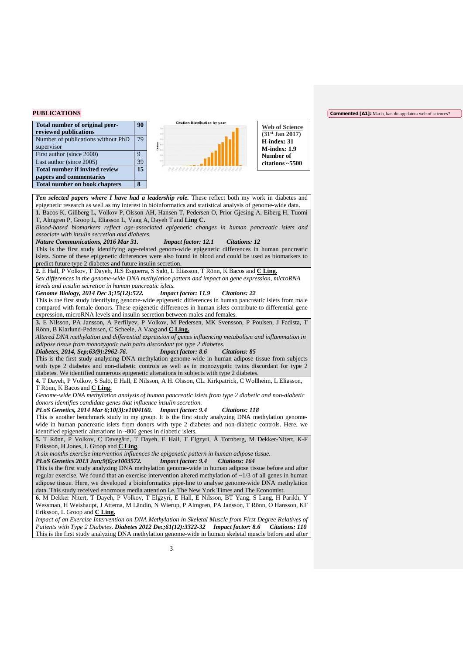#### **PUBLICATIONS**

| Total number of original peer-<br>reviewed publications          |  |
|------------------------------------------------------------------|--|
| Number of publications without PhD<br>supervisor                 |  |
| First author (since 2000)                                        |  |
| Last author (since 2005)                                         |  |
| <b>Total number if invited review</b><br>papers and commentaries |  |
| <b>Total number on book chapters</b>                             |  |



**Web of Science (31st Jan 2017) H-index: 31 M-index: 1.9 Number of citations ~5500**

*Ten selected papers where I have had a leadership role.* These reflect both my work in diabetes and epigenetic research as well as my interest in bioinformatics and statistical analysis of genome-wide data. **1.** Bacos K, Gillberg L, Volkov P, Olsson AH, Hansen T, Pedersen O, Prior Gjesing A, Eiberg H, Tuomi T, Almgren P, Groop L, Eliasson L, Vaag A, Dayeh T and **Ling C.**  *Blood-based biomarkers reflect age-associated epigenetic changes in human pancreatic islets and associate with insulin secretion and diabetes. Nature Communications, 2016 Mar 31. Impact factor: 12.1 Citations: 12* This is the first study identifying age-related genom-wide epigenetic differences in human pancreatic islets. Some of these epigenetic differences were also found in blood and could be used as biomarkers to predict future type 2 diabetes and future insulin secretion. **2.** E Hall, P Volkov, T Dayeh, JLS Esguerra, S Salö, L Eliasson, T Rönn, K Bacos and **C Ling.** *Sex differences in the genome-wide DNA methylation pattern and impact on gene expression, microRNA levels and insulin secretion in human pancreatic islets. Genome Biology, 2014 Dec 3;15(12):522. Impact factor: 11.9 Citations: 22* This is the first study identifying genome-wide epigenetic differences in human pancreatic islets from male compared with female donors. These epigenetic differences in human islets contribute to differential gene expression, microRNA levels and insulin secretion between males and females. **3.** E Nilsson, PA Jansson, A Perfilyev, P Volkov, M Pedersen, MK Svensson, P Poulsen, J Fadista, T Rönn, B Klarlund-Pedersen, C Scheele, A Vaag and **C Ling.** *Altered DNA methylation and differential expression of genes influencing metabolism and inflammation in adipose tissue from monozygotic twin pairs discordant for type 2 diabetes. Diabetes, 2014, Sep; 63(9): 2962-76.* This is the first study analyzing DNA methylation genome-wide in human adipose tissue from subjects with type 2 diabetes and non-diabetic controls as well as in monozygotic twins discordant for type 2 diabetes. We identified numerous epigenetic alterations in subjects with type 2 diabetes. **4.** T Dayeh, P Volkov, S Salö, E Hall, E Nilsson, A H. Olsson, CL. Kirkpatrick, C Wollheim, L Eliasson, T Rönn, K Bacos and **C Ling.**  *Genome-wide DNA methylation analysis of human pancreatic islets from type 2 diabetic and non-diabetic donors identifies candidate genes that influence insulin secretion. PLoS Genetics, 2014 Mar 6;10(3):e1004160. Impact factor: 9.4 Citations: 118* This is another benchmark study in my group. It is the first study analyzing DNA methylation genomewide in human pancreatic islets from donors with type 2 diabetes and non-diabetic controls. Here, we identified epigenetic alterations in ~800 genes in diabetic islets. **5.** T Rönn, P Volkov, C Davegård, T Dayeh, E Hall, T Elgzyri, Å Tornberg, M Dekker-Nitert, K-F Eriksson, H Jones, L Groop and **C Ling**. *A six months exercise intervention influences the epigenetic pattern in human adipose tissue. PLoS Genetics 2013 Jun;9(6):e1003572. Impact factor: 9.4 Citations: 164* This is the first study analyzing DNA methylation genome-wide in human adipose tissue before and after regular exercise. We found that an exercise intervention altered methylation of  $\sim$ 1/3 of all genes in human adipose tissue. Here, we developed a bioinformatics pipe-line to analyse genome-wide DNA methylation data. This study received enormous media attention i.e. The New York Times and The Economist. **6.** M Dekker Nitert, T Dayeh, P Volkov, T Elgzyri, E Hall, E Nilsson, BT Yang, S Lang, H Parikh, Y Wessman, H Weishaupt, J Attema, M Ländin, N Wierup, P Almgren, PA Jansson, T Rönn, O Hansson, KF Eriksson, L Groop and **C Ling.** *Impact of an Exercise Intervention on DNA Methylation in Skeletal Muscle from First Degree Relatives of Patients with Type 2 Diabetes*. *Diabetes 2012 Dec;61(12):3322-32 Impact factor: 8.6 Citations: 110* This is the first study analyzing DNA methylation genome-wide in human skeletal muscle before and after

#### **Commented [A1]:** Maria, kan du uppdatera web of sciences?